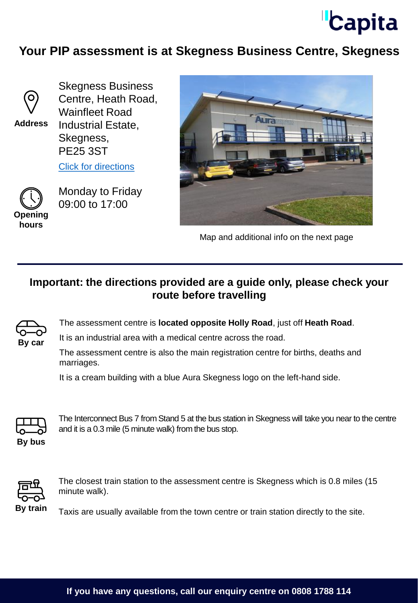

## **Your PIP assessment is at Skegness Business Centre, Skegness**



**Address**

Skegness Business Centre, Heath Road, Wainfleet Road Industrial Estate, Skegness, PE25 3ST

[Click for directions](https://goo.gl/maps/wvNWxT4MfRqjuDiN7)



Monday to Friday 09:00 to 17:00



Map and additional info on the next page

## **Important: the directions provided are a guide only, please check your route before travelling**



The assessment centre is **located opposite Holly Road**, just off **Heath Road**.

It is an industrial area with a medical centre across the road.

The assessment centre is also the main registration centre for births, deaths and marriages.

It is a cream building with a blue Aura Skegness logo on the left-hand side.



The Interconnect Bus 7 from Stand 5 at the bus station in Skegness will take you near to the centre and it is a 0.3 mile (5 minute walk) from the bus stop.



The closest train station to the assessment centre is Skegness which is 0.8 miles (15 minute walk).

By train Taxis are usually available from the town centre or train station directly to the site.